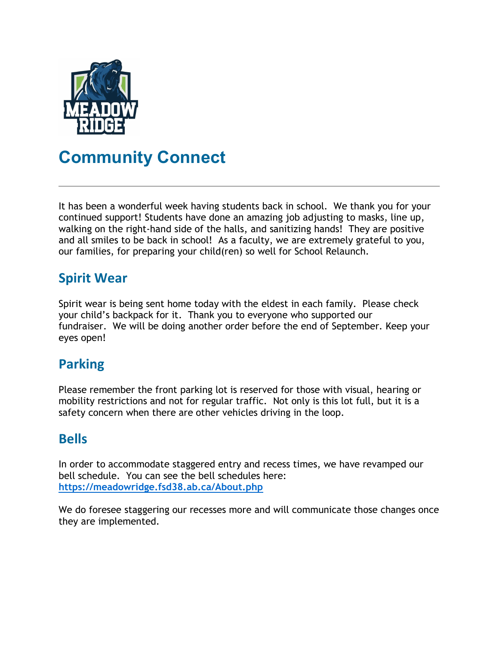

# Community Connect

It has been a wonderful week having students back in school. We thank you for your continued support! Students have done an amazing job adjusting to masks, line up, walking on the right-hand side of the halls, and sanitizing hands! They are positive and all smiles to be back in school! As a faculty, we are extremely grateful to you, our families, for preparing your child(ren) so well for School Relaunch.

## Spirit Wear

Spirit wear is being sent home today with the eldest in each family. Please check your child's backpack for it. Thank you to everyone who supported our fundraiser. We will be doing another order before the end of September. Keep your eyes open!

# Parking

Please remember the front parking lot is reserved for those with visual, hearing or mobility restrictions and not for regular traffic. Not only is this lot full, but it is a safety concern when there are other vehicles driving in the loop.

### Bells

In order to accommodate staggered entry and recess times, we have revamped our bell schedule. You can see the bell schedules here: https://meadowridge.fsd38.ab.ca/About.php

We do foresee staggering our recesses more and will communicate those changes once they are implemented.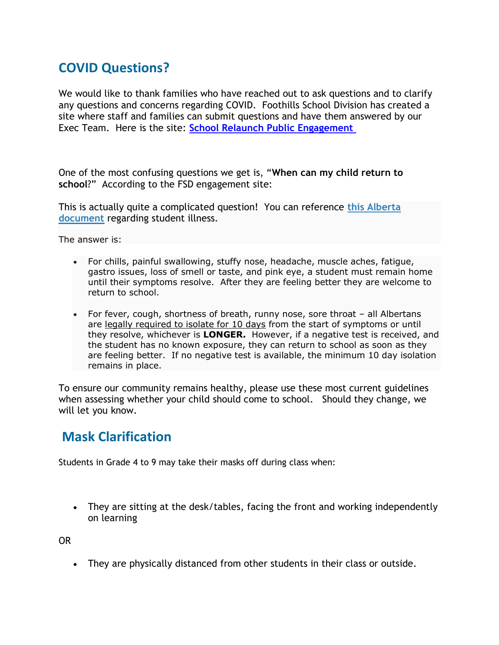# COVID Questions?

We would like to thank families who have reached out to ask questions and to clarify any questions and concerns regarding COVID. Foothills School Division has created a site where staff and families can submit questions and have them answered by our Exec Team. Here is the site: School Relaunch Public Engagement

One of the most confusing questions we get is, "When can my child return to school?" According to the FSD engagement site:

This is actually quite a complicated question! You can reference this Alberta document regarding student illness.

The answer is:

- For chills, painful swallowing, stuffy nose, headache, muscle aches, fatigue, gastro issues, loss of smell or taste, and pink eye, a student must remain home until their symptoms resolve. After they are feeling better they are welcome to return to school.
- For fever, cough, shortness of breath, runny nose, sore throat all Albertans are legally required to isolate for 10 days from the start of symptoms or until they resolve, whichever is **LONGER.** However, if a negative test is received, and the student has no known exposure, they can return to school as soon as they are feeling better. If no negative test is available, the minimum 10 day isolation remains in place.

To ensure our community remains healthy, please use these most current guidelines when assessing whether your child should come to school. Should they change, we will let you know.

#### Mask Clarification

Students in Grade 4 to 9 may take their masks off during class when:

 They are sitting at the desk/tables, facing the front and working independently on learning

OR

They are physically distanced from other students in their class or outside.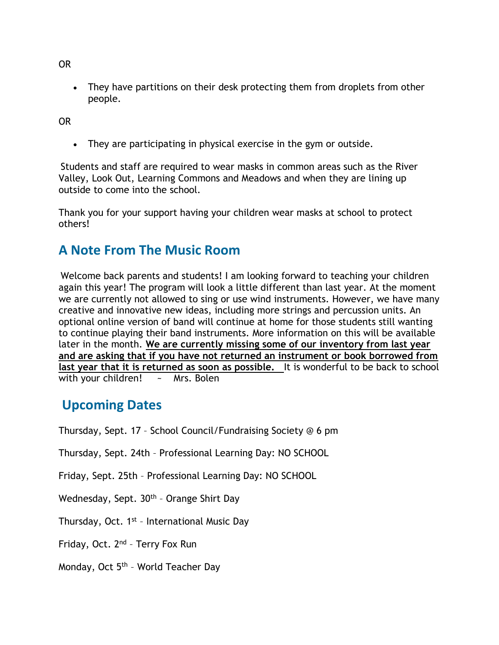OR

• They have partitions on their desk protecting them from droplets from other people.

OR

They are participating in physical exercise in the gym or outside.

Students and staff are required to wear masks in common areas such as the River Valley, Look Out, Learning Commons and Meadows and when they are lining up outside to come into the school.

Thank you for your support having your children wear masks at school to protect others!

#### A Note From The Music Room

Welcome back parents and students! I am looking forward to teaching your children again this year! The program will look a little different than last year. At the moment we are currently not allowed to sing or use wind instruments. However, we have many creative and innovative new ideas, including more strings and percussion units. An optional online version of band will continue at home for those students still wanting to continue playing their band instruments. More information on this will be available later in the month. We are currently missing some of our inventory from last year and are asking that if you have not returned an instrument or book borrowed from last year that it is returned as soon as possible. It is wonderful to be back to school with your children! ~ Mrs. Bolen

### Upcoming Dates

Thursday, Sept. 17 – School Council/Fundraising Society @ 6 pm

Thursday, Sept. 24th – Professional Learning Day: NO SCHOOL

Friday, Sept. 25th – Professional Learning Day: NO SCHOOL

Wednesday, Sept. 30<sup>th</sup> - Orange Shirt Day

Thursday, Oct. 1<sup>st</sup> - International Music Day

Friday, Oct. 2nd – Terry Fox Run

Monday, Oct 5th – World Teacher Day